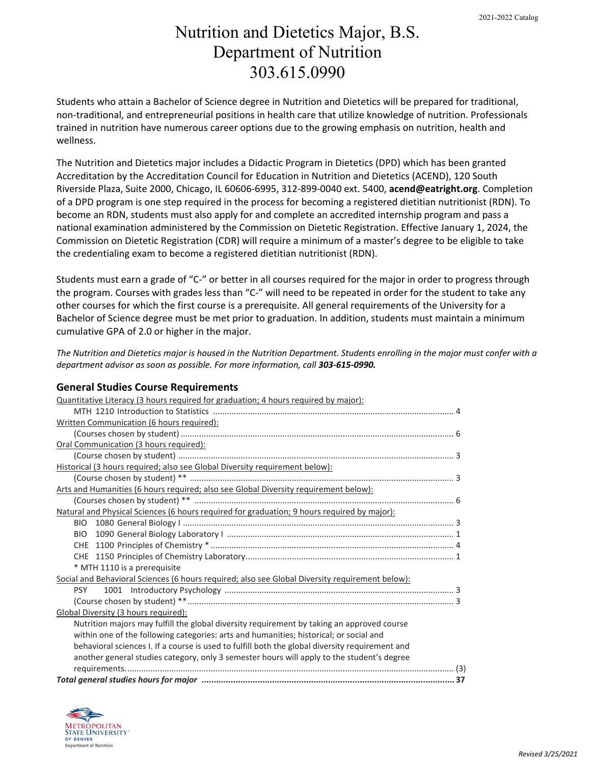# Nutrition and Dietetics Major, B.S. Department of Nutrition 303.615.0990

Students who attain a Bachelor of Science degree in Nutrition and Dietetics will be prepared for traditional, non-traditional, and entrepreneurial positions in health care that utilize knowledge of nutrition. Professionals trained in nutrition have numerous career options due to the growing emphasis on nutrition, health and wellness.

The Nutrition and Dietetics major includes a Didactic Program in Dietetics (DPD) which has been granted Accreditation by the Accreditation Council for Education in Nutrition and Dietetics (ACEND), 120 South Riverside Plaza, Suite 2000, Chicago, IL 60606-6995, 312-899-0040 ext. 5400, **acend@eatright.org**. Completion of a DPD program is one step required in the process for becoming a registered dietitian nutritionist (RDN). To become an RDN, students must also apply for and complete an accredited internship program and pass a national examination administered by the Commission on Dietetic Registration. Effective January 1, 2024, the Commission on Dietetic Registration (CDR) will require a minimum of a master's degree to be eligible to take the credentialing exam to become a registered dietitian nutritionist (RDN).

Students must earn a grade of "C-" or better in all courses required for the major in order to progress through the program. Courses with grades less than "C-" will need to be repeated in order for the student to take any other courses for which the first course is a prerequisite. All general requirements of the University for a Bachelor of Science degree must be met prior to graduation. In addition, students must maintain a minimum cumulative GPA of 2.0 or higher in the major.

*The Nutrition and Dietetics major is housed in the Nutrition Department. Students enrolling in the major must confer with a department advisor as soon as possible. For more information, call 303-615-0990.*

# **General Studies Course Requirements**

| Quantitative Literacy (3 hours required for graduation; 4 hours required by major):             |  |  |  |
|-------------------------------------------------------------------------------------------------|--|--|--|
|                                                                                                 |  |  |  |
| Written Communication (6 hours required):                                                       |  |  |  |
|                                                                                                 |  |  |  |
| Oral Communication (3 hours required):                                                          |  |  |  |
|                                                                                                 |  |  |  |
| Historical (3 hours required; also see Global Diversity requirement below):                     |  |  |  |
|                                                                                                 |  |  |  |
| Arts and Humanities (6 hours required; also see Global Diversity requirement below):            |  |  |  |
|                                                                                                 |  |  |  |
| Natural and Physical Sciences (6 hours required for graduation; 9 hours required by major):     |  |  |  |
|                                                                                                 |  |  |  |
|                                                                                                 |  |  |  |
|                                                                                                 |  |  |  |
|                                                                                                 |  |  |  |
| * MTH 1110 is a prerequisite                                                                    |  |  |  |
| Social and Behavioral Sciences (6 hours required; also see Global Diversity requirement below): |  |  |  |
| <b>PSY</b>                                                                                      |  |  |  |
|                                                                                                 |  |  |  |
| Global Diversity (3 hours required):                                                            |  |  |  |
| Nutrition majors may fulfill the global diversity requirement by taking an approved course      |  |  |  |
| within one of the following categories: arts and humanities; historical; or social and          |  |  |  |
| behavioral sciences I. If a course is used to fulfill both the global diversity requirement and |  |  |  |
| another general studies category, only 3 semester hours will apply to the student's degree      |  |  |  |
|                                                                                                 |  |  |  |
|                                                                                                 |  |  |  |

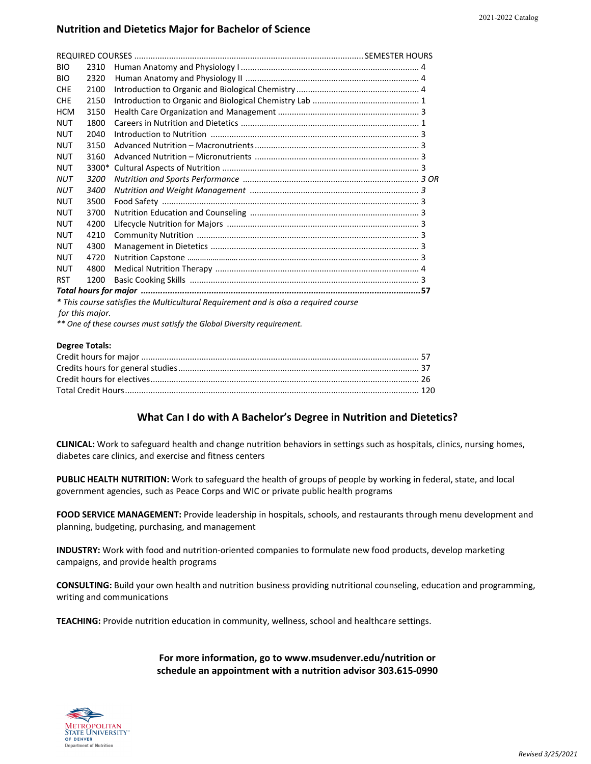## **Nutrition and Dietetics Major for Bachelor of Science**

| <b>BIO</b>                                                                          | 2310  |  |  |  |
|-------------------------------------------------------------------------------------|-------|--|--|--|
| <b>BIO</b>                                                                          | 2320  |  |  |  |
| <b>CHE</b>                                                                          | 2100  |  |  |  |
| <b>CHF</b>                                                                          | 2150  |  |  |  |
| <b>HCM</b>                                                                          | 3150  |  |  |  |
| <b>NUT</b>                                                                          | 1800  |  |  |  |
| <b>NUT</b>                                                                          | 2040  |  |  |  |
| <b>NUT</b>                                                                          | 3150  |  |  |  |
| <b>NUT</b>                                                                          | 3160  |  |  |  |
| <b>NUT</b>                                                                          | 3300* |  |  |  |
| <b>NUT</b>                                                                          | 3200  |  |  |  |
| <b>NUT</b>                                                                          | 3400  |  |  |  |
| <b>NUT</b>                                                                          | 3500  |  |  |  |
| <b>NUT</b>                                                                          | 3700  |  |  |  |
| <b>NUT</b>                                                                          | 4200  |  |  |  |
| <b>NUT</b>                                                                          | 4210  |  |  |  |
| <b>NUT</b>                                                                          | 4300  |  |  |  |
| <b>NUT</b>                                                                          | 4720  |  |  |  |
| <b>NUT</b>                                                                          | 4800  |  |  |  |
| <b>RST</b>                                                                          | 1200  |  |  |  |
|                                                                                     |       |  |  |  |
| * This course satisfies the Multicultural Requirement and is also a required course |       |  |  |  |
| for this major.                                                                     |       |  |  |  |

*\*\* One of these courses must satisfy the Global Diversity requirement.*

#### **Degree Totals:**

### **What Can I do with A Bachelor's Degree in Nutrition and Dietetics?**

**CLINICAL:** Work to safeguard health and change nutrition behaviors in settings such as hospitals, clinics, nursing homes, diabetes care clinics, and exercise and fitness centers

**PUBLIC HEALTH NUTRITION:** Work to safeguard the health of groups of people by working in federal, state, and local government agencies, such as Peace Corps and WIC or private public health programs

**FOOD SERVICE MANAGEMENT:** Provide leadership in hospitals, schools, and restaurants through menu development and planning, budgeting, purchasing, and management

**INDUSTRY:** Work with food and nutrition-oriented companies to formulate new food products, develop marketing campaigns, and provide health programs

**CONSULTING:** Build your own health and nutrition business providing nutritional counseling, education and programming, writing and communications

**TEACHING:** Provide nutrition education in community, wellness, school and healthcare settings.

**For more information, go to www.msudenver.edu/nutrition or schedule an appointment with a nutrition advisor 303.615-0990**